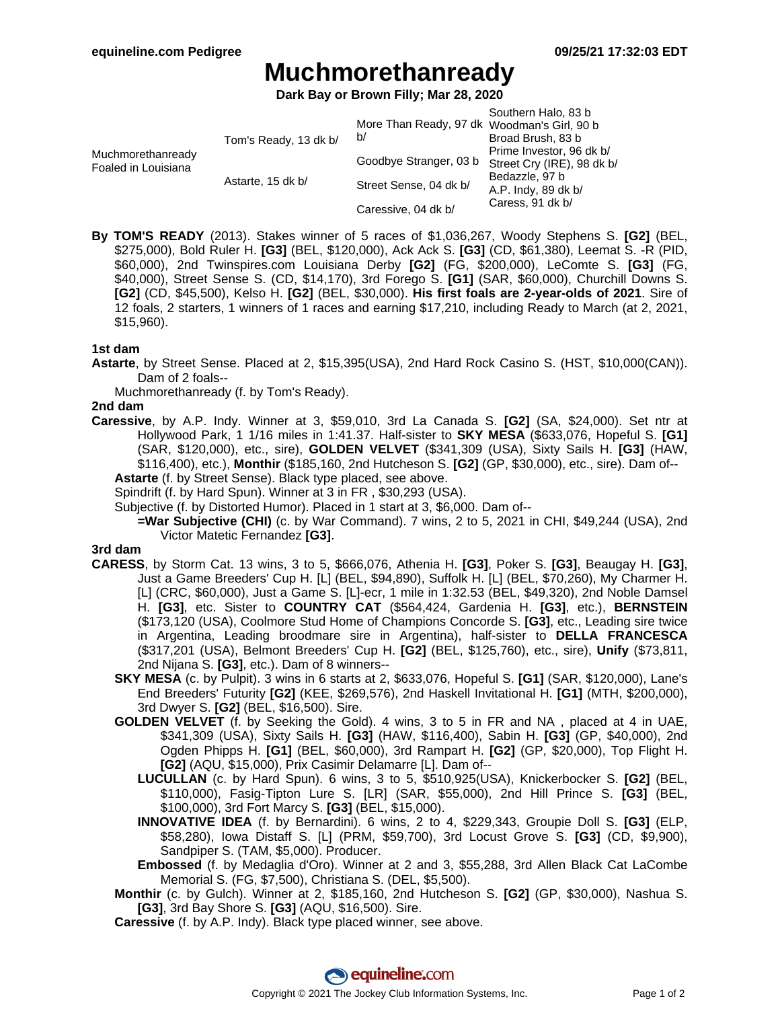# **Muchmorethanready**

**Dark Bay or Brown Filly; Mar 28, 2020**

| Muchmorethanready<br>Foaled in Louisiana | Tom's Ready, 13 dk b/<br>Astarte, 15 dk b/ | More Than Ready, 97 dk Woodman's Girl, 90 b<br>b/ | Southern Halo, 83 b<br>Broad Brush, 83 b<br>Prime Investor, 96 dk b/<br>Street Cry (IRE), 98 dk b/<br>Bedazzle, 97 b<br>A.P. Indy, 89 dk b/<br>Caress, 91 dk b/ |
|------------------------------------------|--------------------------------------------|---------------------------------------------------|-----------------------------------------------------------------------------------------------------------------------------------------------------------------|
|                                          |                                            | Goodbye Stranger, 03 b                            |                                                                                                                                                                 |
|                                          |                                            | Street Sense, 04 dk b/                            |                                                                                                                                                                 |
|                                          |                                            | Caressive, 04 dk b/                               |                                                                                                                                                                 |

**By TOM'S READY** (2013). Stakes winner of 5 races of \$1,036,267, Woody Stephens S. **[G2]** (BEL, \$275,000), Bold Ruler H. **[G3]** (BEL, \$120,000), Ack Ack S. **[G3]** (CD, \$61,380), Leemat S. -R (PID, \$60,000), 2nd Twinspires.com Louisiana Derby **[G2]** (FG, \$200,000), LeComte S. **[G3]** (FG, \$40,000), Street Sense S. (CD, \$14,170), 3rd Forego S. **[G1]** (SAR, \$60,000), Churchill Downs S. **[G2]** (CD, \$45,500), Kelso H. **[G2]** (BEL, \$30,000). **His first foals are 2-year-olds of 2021**. Sire of 12 foals, 2 starters, 1 winners of 1 races and earning \$17,210, including Ready to March (at 2, 2021, \$15,960).

#### **1st dam**

- **Astarte**, by Street Sense. Placed at 2, \$15,395(USA), 2nd Hard Rock Casino S. (HST, \$10,000(CAN)). Dam of 2 foals--
	- Muchmorethanready (f. by Tom's Ready).

#### **2nd dam**

- **Caressive**, by A.P. Indy. Winner at 3, \$59,010, 3rd La Canada S. **[G2]** (SA, \$24,000). Set ntr at Hollywood Park, 1 1/16 miles in 1:41.37. Half-sister to **SKY MESA** (\$633,076, Hopeful S. **[G1]** (SAR, \$120,000), etc., sire), **GOLDEN VELVET** (\$341,309 (USA), Sixty Sails H. **[G3]** (HAW, \$116,400), etc.), **Monthir** (\$185,160, 2nd Hutcheson S. **[G2]** (GP, \$30,000), etc., sire). Dam of--
	- **Astarte** (f. by Street Sense). Black type placed, see above.
	- Spindrift (f. by Hard Spun). Winner at 3 in FR , \$30,293 (USA).
	- Subjective (f. by Distorted Humor). Placed in 1 start at 3, \$6,000. Dam of--
		- **=War Subjective (CHI)** (c. by War Command). 7 wins, 2 to 5, 2021 in CHI, \$49,244 (USA), 2nd Victor Matetic Fernandez **[G3]**.

### **3rd dam**

- **CARESS**, by Storm Cat. 13 wins, 3 to 5, \$666,076, Athenia H. **[G3]**, Poker S. **[G3]**, Beaugay H. **[G3]**, Just a Game Breeders' Cup H. [L] (BEL, \$94,890), Suffolk H. [L] (BEL, \$70,260), My Charmer H. [L] (CRC, \$60,000), Just a Game S. [L]-ecr, 1 mile in 1:32.53 (BEL, \$49,320), 2nd Noble Damsel H. **[G3]**, etc. Sister to **COUNTRY CAT** (\$564,424, Gardenia H. **[G3]**, etc.), **BERNSTEIN** (\$173,120 (USA), Coolmore Stud Home of Champions Concorde S. **[G3]**, etc., Leading sire twice in Argentina, Leading broodmare sire in Argentina), half-sister to **DELLA FRANCESCA** (\$317,201 (USA), Belmont Breeders' Cup H. **[G2]** (BEL, \$125,760), etc., sire), **Unify** (\$73,811, 2nd Nijana S. **[G3]**, etc.). Dam of 8 winners--
	- **SKY MESA** (c. by Pulpit). 3 wins in 6 starts at 2, \$633,076, Hopeful S. **[G1]** (SAR, \$120,000), Lane's End Breeders' Futurity **[G2]** (KEE, \$269,576), 2nd Haskell Invitational H. **[G1]** (MTH, \$200,000), 3rd Dwyer S. **[G2]** (BEL, \$16,500). Sire.
	- **GOLDEN VELVET** (f. by Seeking the Gold). 4 wins, 3 to 5 in FR and NA , placed at 4 in UAE, \$341,309 (USA), Sixty Sails H. **[G3]** (HAW, \$116,400), Sabin H. **[G3]** (GP, \$40,000), 2nd Ogden Phipps H. **[G1]** (BEL, \$60,000), 3rd Rampart H. **[G2]** (GP, \$20,000), Top Flight H. **[G2]** (AQU, \$15,000), Prix Casimir Delamarre [L]. Dam of--
		- **LUCULLAN** (c. by Hard Spun). 6 wins, 3 to 5, \$510,925(USA), Knickerbocker S. **[G2]** (BEL, \$110,000), Fasig-Tipton Lure S. [LR] (SAR, \$55,000), 2nd Hill Prince S. **[G3]** (BEL, \$100,000), 3rd Fort Marcy S. **[G3]** (BEL, \$15,000).
		- **INNOVATIVE IDEA** (f. by Bernardini). 6 wins, 2 to 4, \$229,343, Groupie Doll S. **[G3]** (ELP, \$58,280), Iowa Distaff S. [L] (PRM, \$59,700), 3rd Locust Grove S. **[G3]** (CD, \$9,900), Sandpiper S. (TAM, \$5,000). Producer.
		- **Embossed** (f. by Medaglia d'Oro). Winner at 2 and 3, \$55,288, 3rd Allen Black Cat LaCombe Memorial S. (FG, \$7,500), Christiana S. (DEL, \$5,500).
	- **Monthir** (c. by Gulch). Winner at 2, \$185,160, 2nd Hutcheson S. **[G2]** (GP, \$30,000), Nashua S. **[G3]**, 3rd Bay Shore S. **[G3]** (AQU, \$16,500). Sire.
	- **Caressive** (f. by A.P. Indy). Black type placed winner, see above.